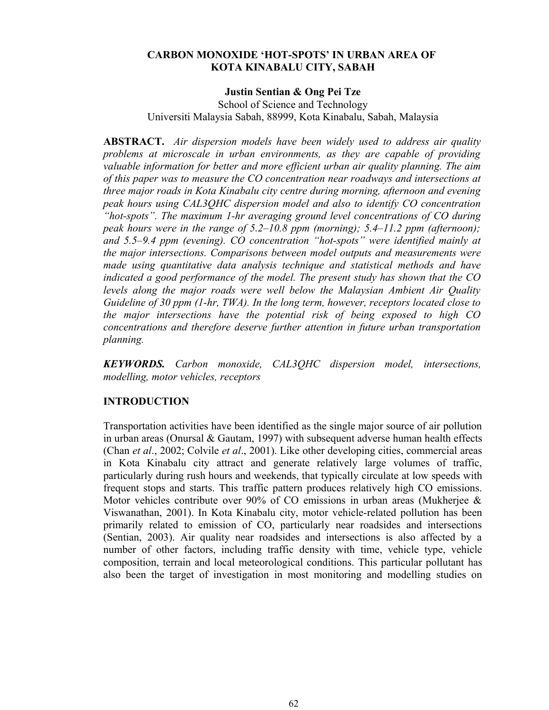# **CARBON MONOXIDE 'HOT-SPOTS' IN URBAN AREA OF KOTA KINABALU CITY, SABAH**

## **Justin Sentian & Ong Pei Tze**

School of Science and Technology Universiti Malaysia Sabah, 88999, Kota Kinabalu, Sabah, Malaysia

**ABSTRACT.** *Air dispersion models have been widely used to address air quality problems at microscale in urban environments, as they are capable of providing valuable information for better and more efficient urban air quality planning. The aim of this paper was to measure the CO concentration near roadways and intersections at three major roads in Kota Kinabalu city centre during morning, afternoon and evening peak hours using CAL3QHC dispersion model and also to identify CO concentration "hot-spots". The maximum 1-hr averaging ground level concentrations of CO during peak hours were in the range of 5.2–10.8 ppm (morning); 5.4–11.2 ppm (afternoon); and 5.5–9.4 ppm (evening). CO concentration "hot-spots" were identified mainly at the major intersections. Comparisons between model outputs and measurements were made using quantitative data analysis technique and statistical methods and have indicated a good performance of the model. The present study has shown that the CO levels along the major roads were well below the Malaysian Ambient Air Quality Guideline of 30 ppm (1-hr, TWA). In the long term, however, receptors located close to the major intersections have the potential risk of being exposed to high CO concentrations and therefore deserve further attention in future urban transportation planning.*

*KEYWORDS. Carbon monoxide, CAL3QHC dispersion model, intersections, modelling, motor vehicles, receptors*

# **INTRODUCTION**

Transportation activities have been identified as the single major source of air pollution in urban areas (Onursal & Gautam, 1997) with subsequent adverse human health effects (Chan *et al*., 2002; Colvile *et al*., 2001). Like other developing cities, commercial areas in Kota Kinabalu city attract and generate relatively large volumes of traffic, particularly during rush hours and weekends, that typically circulate at low speeds with frequent stops and starts. This traffic pattern produces relatively high CO emissions. Motor vehicles contribute over 90% of CO emissions in urban areas (Mukherjee & Viswanathan, 2001). In Kota Kinabalu city, motor vehicle-related pollution has been primarily related to emission of CO, particularly near roadsides and intersections (Sentian, 2003). Air quality near roadsides and intersections is also affected by a number of other factors, including traffic density with time, vehicle type, vehicle composition, terrain and local meteorological conditions. This particular pollutant has also been the target of investigation in most monitoring and modelling studies on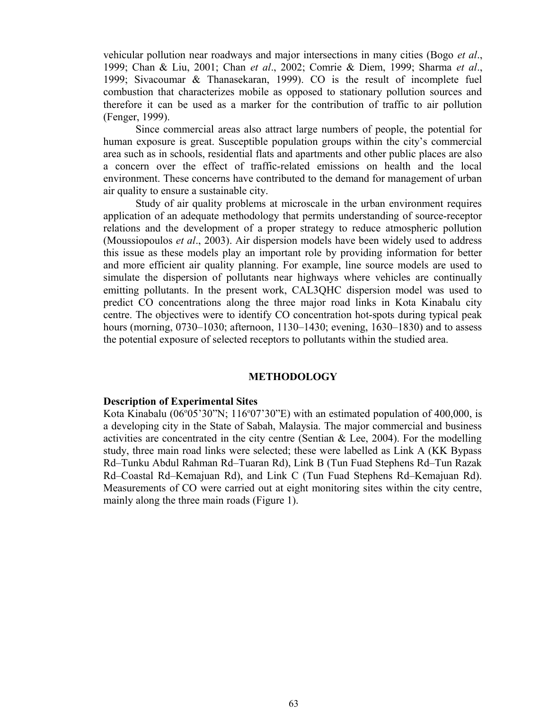vehicular pollution near roadways and major intersections in many cities (Bogo *et al*., 1999; Chan & Liu, 2001; Chan *et al*., 2002; Comrie & Diem, 1999; Sharma *et al*., 1999; Sivacoumar & Thanasekaran, 1999). CO is the result of incomplete fuel combustion that characterizes mobile as opposed to stationary pollution sources and therefore it can be used as a marker for the contribution of traffic to air pollution (Fenger, 1999).

Since commercial areas also attract large numbers of people, the potential for human exposure is great. Susceptible population groups within the city's commercial area such as in schools, residential flats and apartments and other public places are also a concern over the effect of traffic-related emissions on health and the local environment. These concerns have contributed to the demand for management of urban air quality to ensure a sustainable city.

Study of air quality problems at microscale in the urban environment requires application of an adequate methodology that permits understanding of source-receptor relations and the development of a proper strategy to reduce atmospheric pollution (Moussiopoulos *et al*., 2003). Air dispersion models have been widely used to address this issue as these models play an important role by providing information for better and more efficient air quality planning. For example, line source models are used to simulate the dispersion of pollutants near highways where vehicles are continually emitting pollutants. In the present work, CAL3QHC dispersion model was used to predict CO concentrations along the three major road links in Kota Kinabalu city centre. The objectives were to identify CO concentration hot-spots during typical peak hours (morning, 0730–1030; afternoon, 1130–1430; evening, 1630–1830) and to assess the potential exposure of selected receptors to pollutants within the studied area.

## **METHODOLOGY**

### **Description of Experimental Sites**

Kota Kinabalu (06°05'30"N; 116°07'30"E) with an estimated population of 400,000, is a developing city in the State of Sabah, Malaysia. The major commercial and business activities are concentrated in the city centre (Sentian  $\&$  Lee, 2004). For the modelling study, three main road links were selected; these were labelled as Link A (KK Bypass Rd–Tunku Abdul Rahman Rd–Tuaran Rd), Link B (Tun Fuad Stephens Rd–Tun Razak Rd–Coastal Rd–Kemajuan Rd), and Link C (Tun Fuad Stephens Rd–Kemajuan Rd). Measurements of CO were carried out at eight monitoring sites within the city centre, mainly along the three main roads (Figure 1).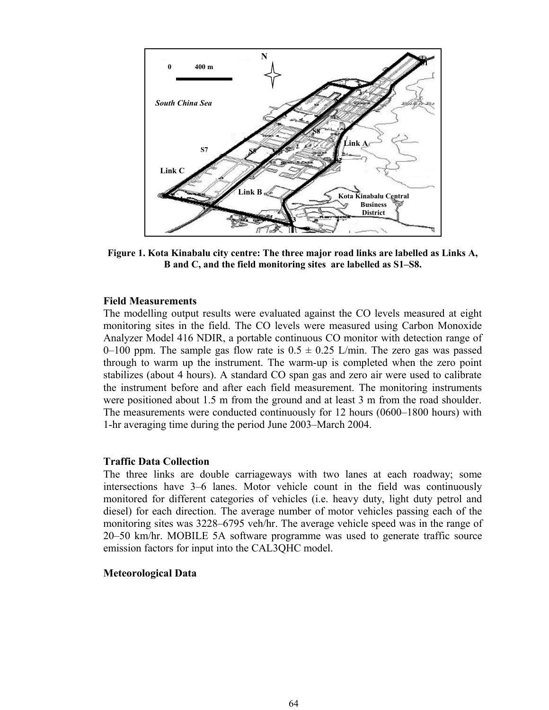

**Figure 1. Kota Kinabalu city centre: The three major road links are labelled as Links A, B and C, and the field monitoring sites are labelled as S1–S8.**

## **Field Measurements**

The modelling output results were evaluated against the CO levels measured at eight monitoring sites in the field. The CO levels were measured using Carbon Monoxide Analyzer Model 416 NDIR, a portable continuous CO monitor with detection range of 0–100 ppm. The sample gas flow rate is  $0.5 \pm 0.25$  L/min. The zero gas was passed through to warm up the instrument. The warm-up is completed when the zero point stabilizes (about 4 hours). A standard CO span gas and zero air were used to calibrate the instrument before and after each field measurement. The monitoring instruments were positioned about 1.5 m from the ground and at least 3 m from the road shoulder. The measurements were conducted continuously for 12 hours (0600–1800 hours) with 1-hr averaging time during the period June 2003–March 2004.

#### **Traffic Data Collection**

The three links are double carriageways with two lanes at each roadway; some intersections have 3–6 lanes. Motor vehicle count in the field was continuously monitored for different categories of vehicles (i.e. heavy duty, light duty petrol and diesel) for each direction. The average number of motor vehicles passing each of the monitoring sites was 3228–6795 veh/hr. The average vehicle speed was in the range of 20–50 km/hr. MOBILE 5A software programme was used to generate traffic source emission factors for input into the CAL3QHC model.

## **Meteorological Data**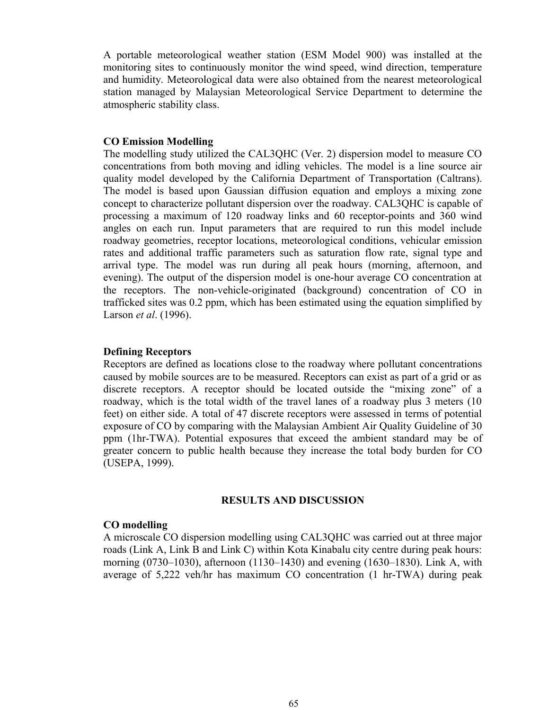A portable meteorological weather station (ESM Model 900) was installed at the monitoring sites to continuously monitor the wind speed, wind direction, temperature and humidity. Meteorological data were also obtained from the nearest meteorological station managed by Malaysian Meteorological Service Department to determine the atmospheric stability class.

#### **CO Emission Modelling**

The modelling study utilized the CAL3QHC (Ver. 2) dispersion model to measure CO concentrations from both moving and idling vehicles. The model is a line source air quality model developed by the California Department of Transportation (Caltrans). The model is based upon Gaussian diffusion equation and employs a mixing zone concept to characterize pollutant dispersion over the roadway. CAL3QHC is capable of processing a maximum of 120 roadway links and 60 receptor-points and 360 wind angles on each run. Input parameters that are required to run this model include roadway geometries, receptor locations, meteorological conditions, vehicular emission rates and additional traffic parameters such as saturation flow rate, signal type and arrival type. The model was run during all peak hours (morning, afternoon, and evening). The output of the dispersion model is one-hour average CO concentration at the receptors. The non-vehicle-originated (background) concentration of CO in trafficked sites was 0.2 ppm, which has been estimated using the equation simplified by Larson *et al*. (1996).

# **Defining Receptors**

Receptors are defined as locations close to the roadway where pollutant concentrations caused by mobile sources are to be measured. Receptors can exist as part of a grid or as discrete receptors. A receptor should be located outside the "mixing zone" of a roadway, which is the total width of the travel lanes of a roadway plus 3 meters (10 feet) on either side. A total of 47 discrete receptors were assessed in terms of potential exposure of CO by comparing with the Malaysian Ambient Air Quality Guideline of 30 ppm (1hr-TWA). Potential exposures that exceed the ambient standard may be of greater concern to public health because they increase the total body burden for CO (USEPA, 1999).

## **RESULTS AND DISCUSSION**

### **CO modelling**

A microscale CO dispersion modelling using CAL3QHC was carried out at three major roads (Link A, Link B and Link C) within Kota Kinabalu city centre during peak hours: morning (0730–1030), afternoon (1130–1430) and evening (1630–1830). Link A, with average of 5,222 veh/hr has maximum CO concentration (1 hr-TWA) during peak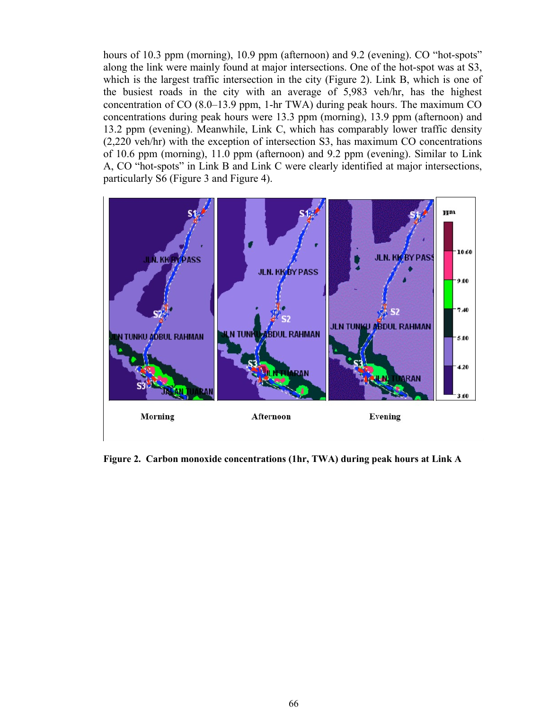hours of 10.3 ppm (morning), 10.9 ppm (afternoon) and 9.2 (evening). CO "hot-spots" along the link were mainly found at major intersections. One of the hot-spot was at S3, which is the largest traffic intersection in the city (Figure 2). Link B, which is one of the busiest roads in the city with an average of 5,983 veh/hr, has the highest concentration of CO (8.0–13.9 ppm, 1-hr TWA) during peak hours. The maximum CO concentrations during peak hours were 13.3 ppm (morning), 13.9 ppm (afternoon) and 13.2 ppm (evening). Meanwhile, Link C, which has comparably lower traffic density (2,220 veh/hr) with the exception of intersection S3, has maximum CO concentrations of 10.6 ppm (morning), 11.0 ppm (afternoon) and 9.2 ppm (evening). Similar to Link A, CO "hot-spots" in Link B and Link C were clearly identified at major intersections, particularly S6 (Figure 3 and Figure 4).



**Figure 2. Carbon monoxide concentrations (1hr, TWA) during peak hours at Link A**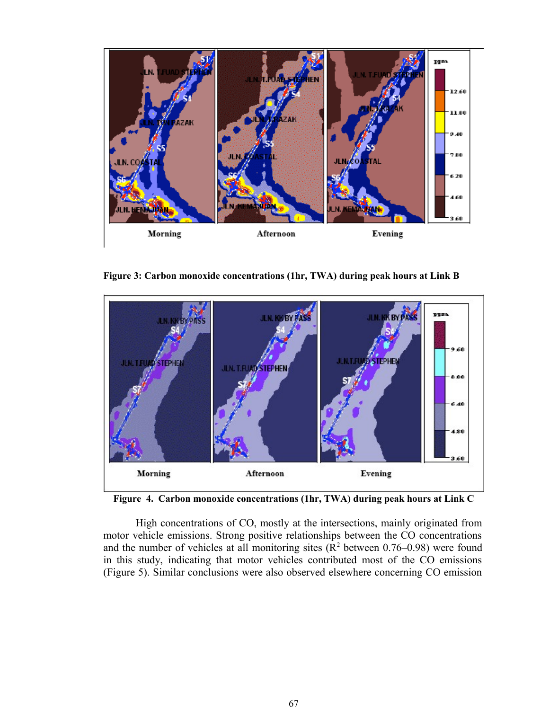

**Figure 3: Carbon monoxide concentrations (1hr, TWA) during peak hours at Link B**



**Figure 4. Carbon monoxide concentrations (1hr, TWA) during peak hours at Link C**

High concentrations of CO, mostly at the intersections, mainly originated from motor vehicle emissions. Strong positive relationships between the CO concentrations and the number of vehicles at all monitoring sites  $(R^2$  between 0.76–0.98) were found in this study, indicating that motor vehicles contributed most of the CO emissions (Figure 5). Similar conclusions were also observed elsewhere concerning CO emission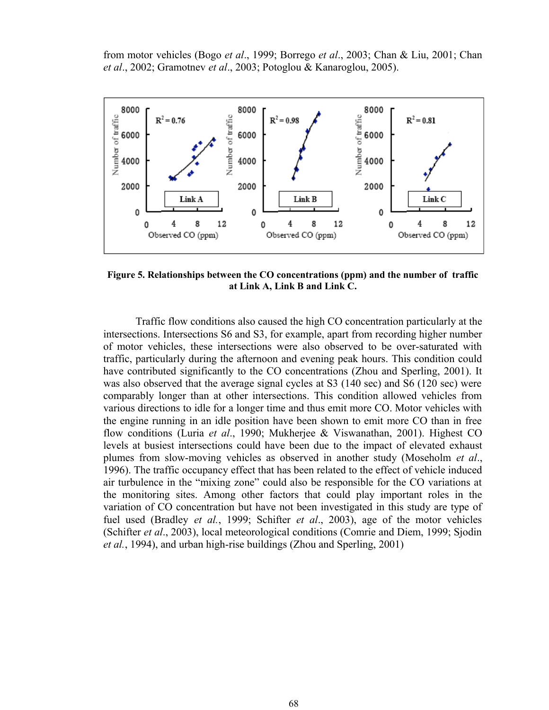from motor vehicles (Bogo *et al*., 1999; Borrego *et al*., 2003; Chan & Liu, 2001; Chan *et al*., 2002; Gramotnev *et al*., 2003; Potoglou & Kanaroglou, 2005).



**Figure 5. Relationships between the CO concentrations (ppm) and the number of traffic at Link A, Link B and Link C.**

Traffic flow conditions also caused the high CO concentration particularly at the intersections. Intersections S6 and S3, for example, apart from recording higher number of motor vehicles, these intersections were also observed to be over-saturated with traffic, particularly during the afternoon and evening peak hours. This condition could have contributed significantly to the CO concentrations (Zhou and Sperling, 2001). It was also observed that the average signal cycles at S3 (140 sec) and S6 (120 sec) were comparably longer than at other intersections. This condition allowed vehicles from various directions to idle for a longer time and thus emit more CO. Motor vehicles with the engine running in an idle position have been shown to emit more CO than in free flow conditions (Luria *et al*., 1990; Mukherjee & Viswanathan, 2001). Highest CO levels at busiest intersections could have been due to the impact of elevated exhaust plumes from slow-moving vehicles as observed in another study (Moseholm *et al*., 1996). The traffic occupancy effect that has been related to the effect of vehicle induced air turbulence in the "mixing zone" could also be responsible for the CO variations at the monitoring sites. Among other factors that could play important roles in the variation of CO concentration but have not been investigated in this study are type of fuel used (Bradley *et al.*, 1999; Schifter *et al*., 2003), age of the motor vehicles (Schifter *et al*., 2003), local meteorological conditions (Comrie and Diem, 1999; Sjodin *et al.*, 1994), and urban high-rise buildings (Zhou and Sperling, 2001)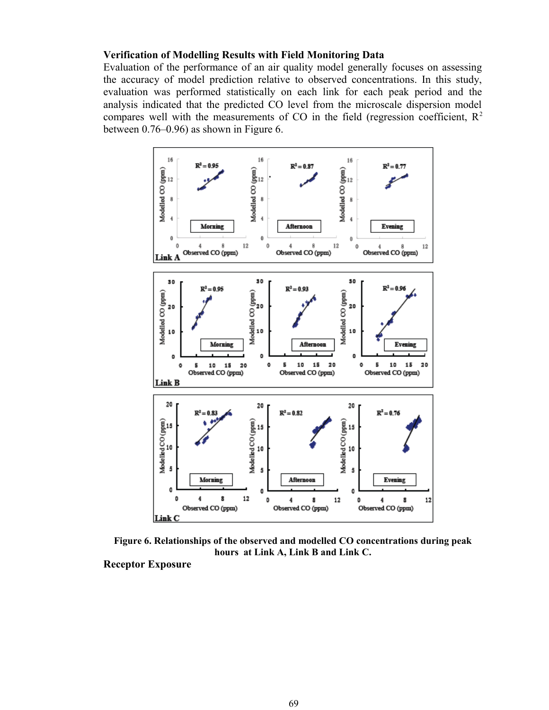# **Verification of Modelling Results with Field Monitoring Data**

Evaluation of the performance of an air quality model generally focuses on assessing the accuracy of model prediction relative to observed concentrations. In this study, evaluation was performed statistically on each link for each peak period and the analysis indicated that the predicted CO level from the microscale dispersion model compares well with the measurements of CO in the field (regression coefficient,  $R^2$ ) between 0.76–0.96) as shown in Figure 6.



**Figure 6. Relationships of the observed and modelled CO concentrations during peak hours at Link A, Link B and Link C.**

**Receptor Exposure**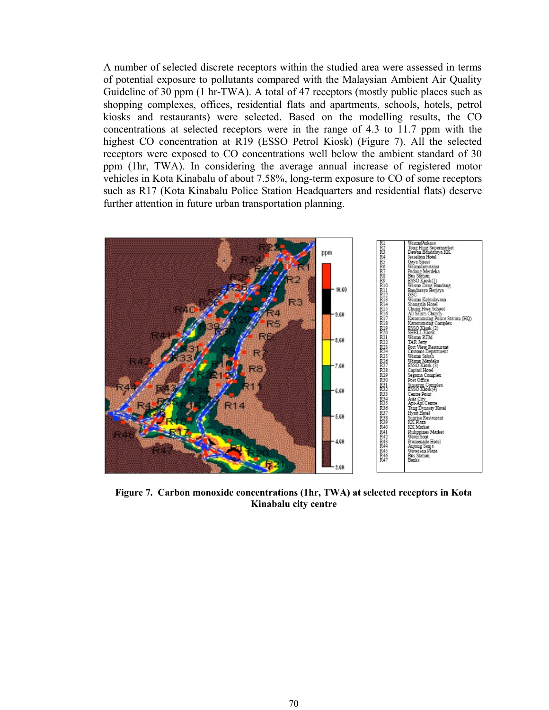A number of selected discrete receptors within the studied area were assessed in terms of potential exposure to pollutants compared with the Malaysian Ambient Air Quality Guideline of 30 ppm (1 hr-TWA). A total of 47 receptors (mostly public places such as shopping complexes, offices, residential flats and apartments, schools, hotels, petrol kiosks and restaurants) were selected. Based on the modelling results, the CO concentrations at selected receptors were in the range of 4.3 to 11.7 ppm with the highest CO concentration at R19 (ESSO Petrol Kiosk) (Figure 7). All the selected receptors were exposed to CO concentrations well below the ambient standard of 30 ppm (1hr, TWA). In considering the average annual increase of registered motor vehicles in Kota Kinabalu of about 7.58%, long-term exposure to CO of some receptors such as R17 (Kota Kinabalu Police Station Headquarters and residential flats) deserve further attention in future urban transportation planning.



**Figure 7. Carbon monoxide concentrations (1hr, TWA) at selected receptors in Kota Kinabalu city centre**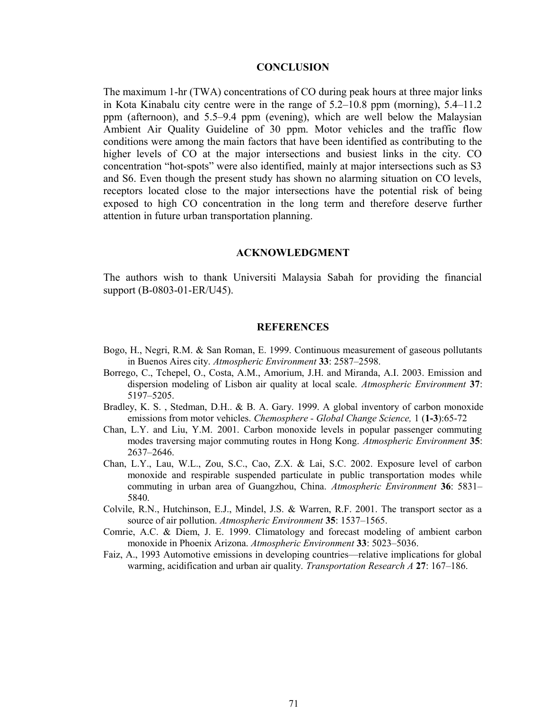## **CONCLUSION**

The maximum 1-hr (TWA) concentrations of CO during peak hours at three major links in Kota Kinabalu city centre were in the range of 5.2–10.8 ppm (morning), 5.4–11.2 ppm (afternoon), and 5.5–9.4 ppm (evening), which are well below the Malaysian Ambient Air Quality Guideline of 30 ppm. Motor vehicles and the traffic flow conditions were among the main factors that have been identified as contributing to the higher levels of CO at the major intersections and busiest links in the city. CO concentration "hot-spots" were also identified, mainly at major intersections such as S3 and S6. Even though the present study has shown no alarming situation on CO levels, receptors located close to the major intersections have the potential risk of being exposed to high CO concentration in the long term and therefore deserve further attention in future urban transportation planning.

#### **ACKNOWLEDGMENT**

The authors wish to thank Universiti Malaysia Sabah for providing the financial support (B-0803-01-ER/U45).

## **REFERENCES**

- Bogo, H., Negri, R.M. & San Roman, E. 1999. Continuous measurement of gaseous pollutants in Buenos Aires city. *Atmospheric Environment* **33**: 2587–2598.
- Borrego, C., Tchepel, O., Costa, A.M., Amorium, J.H. and Miranda, A.I. 2003. Emission and dispersion modeling of Lisbon air quality at local scale. *Atmospheric Environment* **37**: 5197–5205.
- Bradley, K. S. , Stedman, D.H.. & B. A. Gary. 1999. A global inventory of carbon monoxide emissions from motor vehicles. *Chemosphere - Global Change Science,* 1 (**1-3**):65-72
- Chan, L.Y. and Liu, Y.M. 2001. Carbon monoxide levels in popular passenger commuting modes traversing major commuting routes in Hong Kong. *Atmospheric Environment* **35**: 2637–2646.
- Chan, L.Y., Lau, W.L., Zou, S.C., Cao, Z.X. & Lai, S.C. 2002. Exposure level of carbon monoxide and respirable suspended particulate in public transportation modes while commuting in urban area of Guangzhou, China. *Atmospheric Environment* **36**: 5831– 5840.
- Colvile, R.N., Hutchinson, E.J., Mindel, J.S. & Warren, R.F. 2001. The transport sector as a source of air pollution. *Atmospheric Environment* **35**: 1537–1565.
- Comrie, A.C. & Diem, J. E. 1999. Climatology and forecast modeling of ambient carbon monoxide in Phoenix Arizona. *Atmospheric Environment* **33**: 5023–5036.
- Faiz, A., 1993 Automotive emissions in developing countries—relative implications for global warming, acidification and urban air quality. *Transportation Research A* **27**: 167–186.